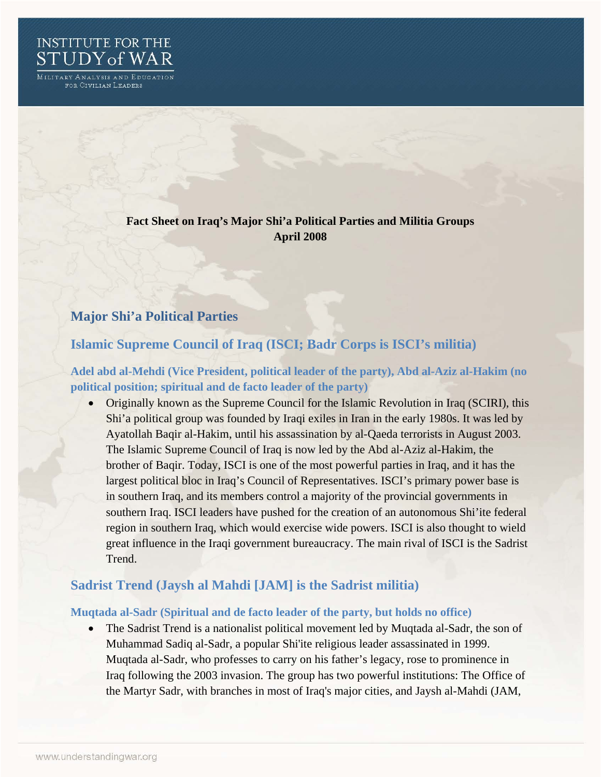

MILITARY ANALYSIS AND EDUCATION for Civilian Leaders

## **Fact Sheet on Iraq's Major Shi'a Political Parties and Militia Groups April 2008**

# **Major Shi'a Political Parties**

# **Islamic Supreme Council of Iraq (ISCI; Badr Corps is ISCI's militia)**

**Adel abd al-Mehdi (Vice President, political leader of the party), Abd al-Aziz al-Hakim (no political position; spiritual and de facto leader of the party)** 

• Originally known as the Supreme Council for the Islamic Revolution in Iraq (SCIRI), this Shi'a political group was founded by Iraqi exiles in Iran in the early 1980s. It was led by Ayatollah Baqir al-Hakim, until his assassination by al-Qaeda terrorists in August 2003. The Islamic Supreme Council of Iraq is now led by the Abd al-Aziz al-Hakim, the brother of Baqir. Today, ISCI is one of the most powerful parties in Iraq, and it has the largest political bloc in Iraq's Council of Representatives. ISCI's primary power base is in southern Iraq, and its members control a majority of the provincial governments in southern Iraq. ISCI leaders have pushed for the creation of an autonomous Shi'ite federal region in southern Iraq, which would exercise wide powers. ISCI is also thought to wield great influence in the Iraqi government bureaucracy. The main rival of ISCI is the Sadrist Trend.

## **Sadrist Trend (Jaysh al Mahdi [JAM] is the Sadrist militia)**

### **Muqtada al-Sadr (Spiritual and de facto leader of the party, but holds no office)**

• The Sadrist Trend is a nationalist political movement led by Muqtada al-Sadr, the son of Muhammad Sadiq al-Sadr, a popular Shi'ite religious leader assassinated in 1999. Muqtada al-Sadr, who professes to carry on his father's legacy, rose to prominence in Iraq following the 2003 invasion. The group has two powerful institutions: The Office of the Martyr Sadr, with branches in most of Iraq's major cities, and Jaysh al-Mahdi (JAM,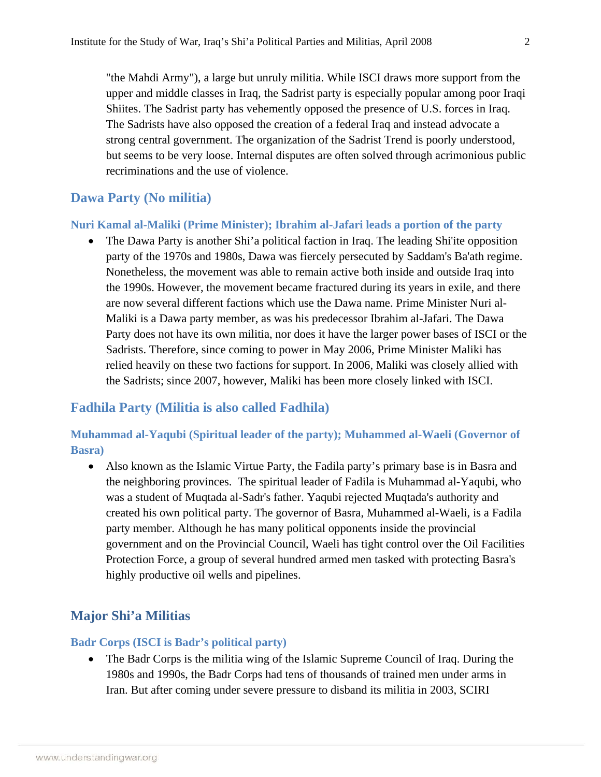"the Mahdi Army"), a large but unruly militia. While ISCI draws more support from the upper and middle classes in Iraq, the Sadrist party is especially popular among poor Iraqi Shiites. The Sadrist party has vehemently opposed the presence of U.S. forces in Iraq. The Sadrists have also opposed the creation of a federal Iraq and instead advocate a strong central government. The organization of the Sadrist Trend is poorly understood, but seems to be very loose. Internal disputes are often solved through acrimonious public recriminations and the use of violence.

### **Dawa Party (No militia)**

#### **Nuri Kamal al-Maliki (Prime Minister); Ibrahim al-Jafari leads a portion of the party**

• The Dawa Party is another Shi'a political faction in Iraq. The leading Shi'ite opposition party of the 1970s and 1980s, Dawa was fiercely persecuted by Saddam's Ba'ath regime. Nonetheless, the movement was able to remain active both inside and outside Iraq into the 1990s. However, the movement became fractured during its years in exile, and there are now several different factions which use the Dawa name. Prime Minister Nuri al-Maliki is a Dawa party member, as was his predecessor Ibrahim al-Jafari. The Dawa Party does not have its own militia, nor does it have the larger power bases of ISCI or the Sadrists. Therefore, since coming to power in May 2006, Prime Minister Maliki has relied heavily on these two factions for support. In 2006, Maliki was closely allied with the Sadrists; since 2007, however, Maliki has been more closely linked with ISCI.

### **Fadhila Party (Militia is also called Fadhila)**

### **Muhammad al-Yaqubi (Spiritual leader of the party); Muhammed al-Waeli (Governor of Basra)**

• Also known as the Islamic Virtue Party, the Fadila party's primary base is in Basra and the neighboring provinces. The spiritual leader of Fadila is Muhammad al-Yaqubi, who was a student of Muqtada al-Sadr's father. Yaqubi rejected Muqtada's authority and created his own political party. The governor of Basra, Muhammed al-Waeli, is a Fadila party member. Although he has many political opponents inside the provincial government and on the Provincial Council, Waeli has tight control over the Oil Facilities Protection Force, a group of several hundred armed men tasked with protecting Basra's highly productive oil wells and pipelines.

### **Major Shi'a Militias**

#### **Badr Corps (ISCI is Badr's political party)**

• The Badr Corps is the militia wing of the Islamic Supreme Council of Iraq. During the 1980s and 1990s, the Badr Corps had tens of thousands of trained men under arms in Iran. But after coming under severe pressure to disband its militia in 2003, SCIRI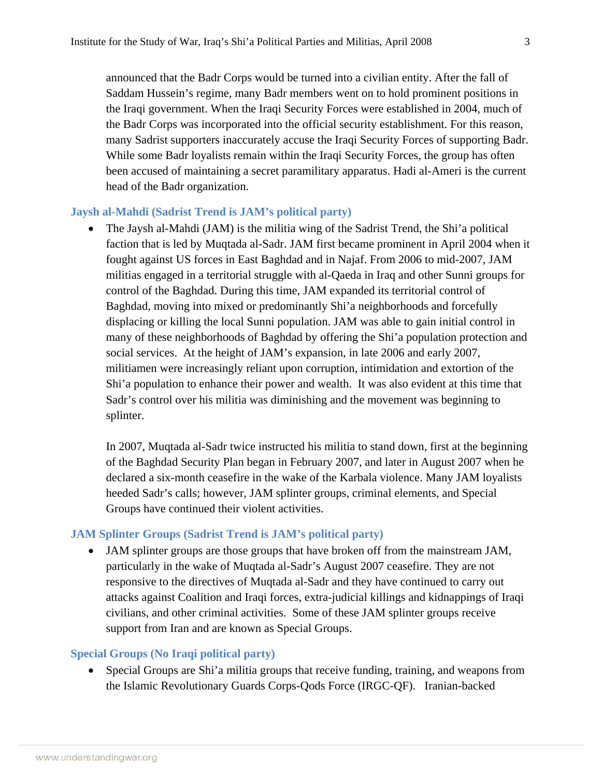announced that the Badr Corps would be turned into a civilian entity. After the fall of Saddam Hussein's regime, many Badr members went on to hold prominent positions in the Iraqi government. When the Iraqi Security Forces were established in 2004, much of the Badr Corps was incorporated into the official security establishment. For this reason, many Sadrist supporters inaccurately accuse the Iraqi Security Forces of supporting Badr. While some Badr loyalists remain within the Iraqi Security Forces, the group has often been accused of maintaining a secret paramilitary apparatus. Hadi al-Ameri is the current head of the Badr organization.

#### **Jaysh al-Mahdi (Sadrist Trend is JAM's political party)**

• The Jaysh al-Mahdi (JAM) is the militia wing of the Sadrist Trend, the Shi'a political faction that is led by Muqtada al-Sadr. JAM first became prominent in April 2004 when it fought against US forces in East Baghdad and in Najaf. From 2006 to mid-2007, JAM militias engaged in a territorial struggle with al-Qaeda in Iraq and other Sunni groups for control of the Baghdad. During this time, JAM expanded its territorial control of Baghdad, moving into mixed or predominantly Shi'a neighborhoods and forcefully displacing or killing the local Sunni population. JAM was able to gain initial control in many of these neighborhoods of Baghdad by offering the Shi'a population protection and social services. At the height of JAM's expansion, in late 2006 and early 2007, militiamen were increasingly reliant upon corruption, intimidation and extortion of the Shi'a population to enhance their power and wealth. It was also evident at this time that Sadr's control over his militia was diminishing and the movement was beginning to splinter.

In 2007, Muqtada al-Sadr twice instructed his militia to stand down, first at the beginning of the Baghdad Security Plan began in February 2007, and later in August 2007 when he declared a six-month ceasefire in the wake of the Karbala violence. Many JAM loyalists heeded Sadr's calls; however, JAM splinter groups, criminal elements, and Special Groups have continued their violent activities.

#### **JAM Splinter Groups (Sadrist Trend is JAM's political party)**

• JAM splinter groups are those groups that have broken off from the mainstream JAM, particularly in the wake of Muqtada al-Sadr's August 2007 ceasefire. They are not responsive to the directives of Muqtada al-Sadr and they have continued to carry out attacks against Coalition and Iraqi forces, extra-judicial killings and kidnappings of Iraqi civilians, and other criminal activities. Some of these JAM splinter groups receive support from Iran and are known as Special Groups.

#### **Special Groups (No Iraqi political party)**

• Special Groups are Shi'a militia groups that receive funding, training, and weapons from the Islamic Revolutionary Guards Corps-Qods Force (IRGC-QF). Iranian-backed